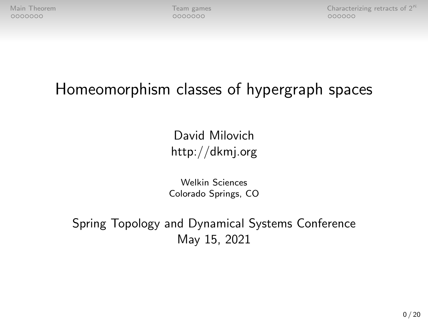[Main Theorem](#page-1-0)  $\overline{C}$  Characterizing retracts of  $2^{\kappa}$  and  $\overline{C}$  conducts of  $2^{\kappa}$  conducts of  $2^{\kappa}$  conducts of  $2^{\kappa}$  conducts of  $2^{\kappa}$  conducts of  $2^{\kappa}$  and  $\overline{C}$  conducts of  $2^{\kappa}$  conducts of

# Homeomorphism classes of hypergraph spaces

David Milovich http://dkmj.org

Welkin Sciences Colorado Springs, CO

Spring Topology and Dynamical Systems Conference May 15, 2021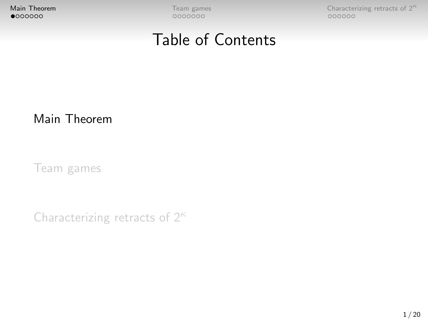<span id="page-1-0"></span>

**[Main Theorem](#page-1-0) [Team games](#page-8-0)** Team games Characterizing retracts of  $2^{\kappa}$  **Conserversity Conserversity** COOOOOO

### Table of Contents

#### [Main Theorem](#page-1-0)

[Team games](#page-8-0)

[Characterizing retracts of 2](#page-15-0)<sup>κ</sup>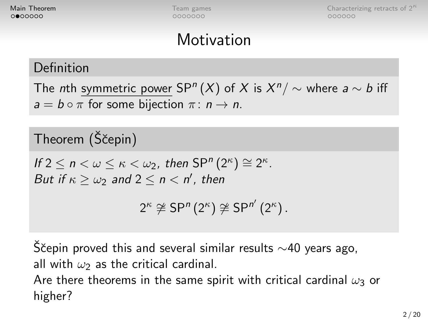**[Main Theorem](#page-1-0) [Team games](#page-8-0)** Team games [Characterizing retracts of 2](#page-15-0)<sup>K</sup>  $\sim$  25 Au 100  $\mu$  $000000$ 

### Motivation

#### Definition

The  $n$ th symmetric power SP $^n(X)$  of  $X$  is  $X^n/\sim$  where  $a\sim b$  iff  $a = b \circ \pi$  for some bijection  $\pi : n \to n$ .

#### Theorem (Ščepin)

If  $2 \leq n < \omega \leq \kappa < \omega_2$ , then  $SP^n(2^{\kappa}) \cong 2^{\kappa}$ . But if  $\kappa \geq \omega_2$  and  $2 \leq n < n'$ , then

$$
2^{\kappa} \not\cong \mathsf{SP}^n(2^{\kappa}) \not\cong \mathsf{SP}^{n'}(2^{\kappa}).
$$

S̆čepin proved this and several similar results  $\sim$ 40 years ago, all with  $\omega_2$  as the critical cardinal. Are there theorems in the same spirit with critical cardinal  $\omega_3$  or higher?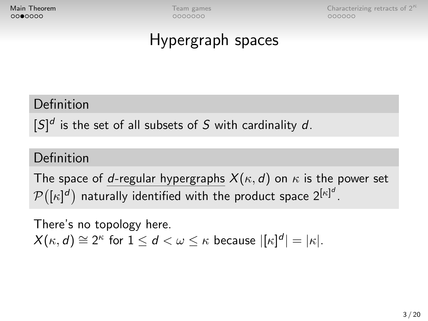0000000

**[Main Theorem](#page-1-0) Team** games **[Characterizing retracts of 2](#page-15-0)<sup>** $k$ **</sup> Characterizing retracts of 2** $k$  $000000$ 

### Hypergraph spaces

#### Definition

 $[S]^{d}$  is the set of all subsets of S with cardinality d.

#### Definition

The space of d-regular hypergraphs  $X(\kappa, d)$  on  $\kappa$  is the power set  $\mathcal{P} \big( [\kappa]^d \big)$  naturally identified with the product space  $2^{[\kappa]^d}.$ 

There's no topology here.  $X(\kappa, d) \cong 2^{\kappa}$  for  $1 \le d < \omega \le \kappa$  because  $|[\kappa]^d| = |\kappa|.$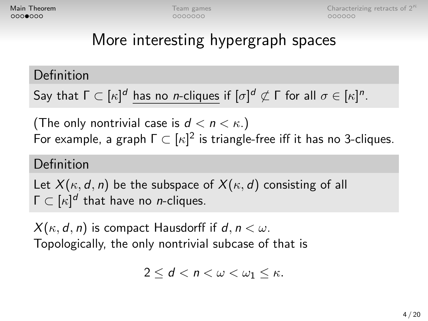0000000

**[Main Theorem](#page-1-0) [Team games](#page-8-0)** Team games [Characterizing retracts of 2](#page-15-0)<sup>K</sup>  $\sim$  25 Au 100  $\mu$  $000000$ 

# More interesting hypergraph spaces

Definition

Say that  $\Gamma \subset [\kappa]^d$  has no *n*-cliques if  $[\sigma]^d \not\subset \Gamma$  for all  $\sigma \in [\kappa]^n.$ 

(The only nontrivial case is  $d < n < \kappa$ .) For example, a graph  $\Gamma \subset [\kappa]^2$  is triangle-free iff it has no 3-cliques.

#### Definition

Let  $X(\kappa, d, n)$  be the subspace of  $X(\kappa, d)$  consisting of all  $\Gamma \subset [\kappa]^d$  that have no *n*-cliques.

 $X(\kappa, d, n)$  is compact Hausdorff if  $d, n < \omega$ . Topologically, the only nontrivial subcase of that is

 $2 \leq d \leq n \leq \omega \leq \omega_1 \leq \kappa$ .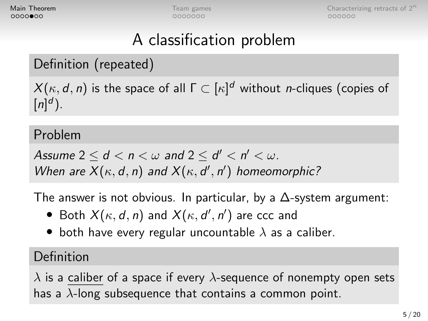**[Main Theorem](#page-1-0) [Team games](#page-8-0)** Team games [Characterizing retracts of 2](#page-15-0)<sup>K</sup>  $\sim$  25 Au 100  $\mu$  $000000$ 

# A classification problem

#### Definition (repeated)

 $\mathcal{X}(\kappa,d,n)$  is the space of all  $\mathsf{\Gamma} \subset [\kappa]^d$  without *n*-cliques (copies of  $[n]^{d}$ ).

#### Problem

Assume 2  $\leq$  d  $<$  n  $<$   $\omega$  and 2  $\leq$  d'  $<$  n'  $<$   $\omega$ . When are  $X(\kappa, d, n)$  and  $X(\kappa, d', n')$  homeomorphic?

The answer is not obvious. In particular, by a  $\Delta$ -system argument:

- Both  $X(\kappa, d, n)$  and  $X(\kappa, d', n')$  are ccc and
- both have every regular uncountable  $\lambda$  as a caliber.

#### Definition

 $\lambda$  is a caliber of a space if every  $\lambda$ -sequence of nonempty open sets has a  $\lambda$ -long subsequence that contains a common point.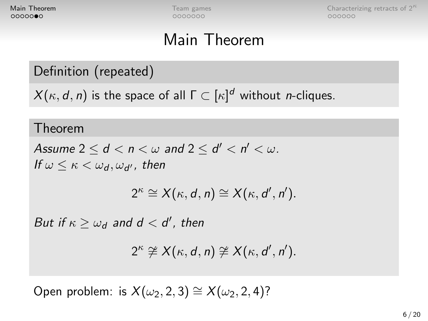**[Main Theorem](#page-1-0)** [Team games](#page-8-0) Team games Characterizing retracts of  $2^k$ <br>**OOOOOOO** CHARACTERIZING RETRACTS OCCUPATION CONTROL CONTROL CONTROL CONTROLLERIZING RETRACTS OF 2K  $000000$ 

# Main Theorem

#### Definition (repeated)

 $\mathcal{X}(\kappa,d,n)$  is the space of all  $\mathsf{\Gamma} \subset [\kappa]^d$  without *n*-cliques.

#### Theorem

Assume 2  $\leq$  d  $<$  n  $<$   $\omega$  and 2  $\leq$  d'  $<$  n'  $<$   $\omega$ . If  $\omega \leq \kappa < \omega_{\bm d}, \omega_{\bm d'}$ , then

$$
2^{\kappa} \cong X(\kappa, d, n) \cong X(\kappa, d', n').
$$

But if  $\kappa \geq \omega_d$  and  $d < d'$ , then

$$
2^{\kappa} \ncong X(\kappa, d, n) \ncong X(\kappa, d', n').
$$

Open problem: is  $X(\omega_2, 2, 3) \cong X(\omega_2, 2, 4)$ ?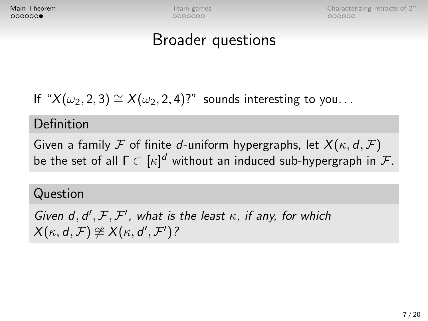**[Main Theorem](#page-1-0) [Team games](#page-8-0)** Team games [Characterizing retracts of 2](#page-15-0)<sup>K</sup>  $\sim$  25 Au 100  $\mu$  $000000$ 

### Broader questions

If " $X(\omega_2, 2, 3) \cong X(\omega_2, 2, 4)$ ?" sounds interesting to you...

#### Definition

Given a family F of finite d-uniform hypergraphs, let  $X(\kappa, d, F)$ be the set of all  $\mathsf{\Gamma} \subset [\kappa]^d$  without an induced sub-hypergraph in  $\mathcal{F}.$ 

#### Question

Given  $d, d', F, F'$ , what is the least  $\kappa$ , if any, for which  $X(\kappa, d, \mathcal{F}) \ncong X(\kappa, d', \mathcal{F}')$ ?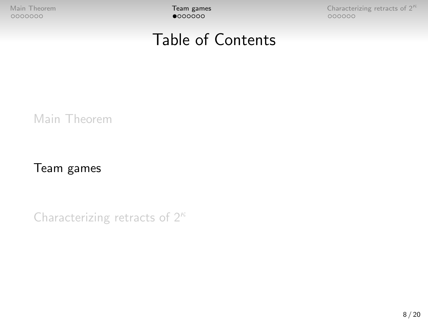<span id="page-8-0"></span>

[Main Theorem](#page-1-0)  $\begin{array}{ccc}\n\textbf{Team games} \\
\textbf{O00000} \\
\textbf{O00000}\n\end{array}$  $\begin{array}{ccc}\n\textbf{Team games} \\
\textbf{O00000} \\
\textbf{O00000}\n\end{array}$  $\begin{array}{ccc}\n\textbf{Team games} \\
\textbf{O00000} \\
\textbf{O00000}\n\end{array}$  Characterizing retracts of  $2^{\kappa}$ 

### Table of Contents

[Main Theorem](#page-1-0)

[Team games](#page-8-0)

[Characterizing retracts of 2](#page-15-0)<sup>κ</sup>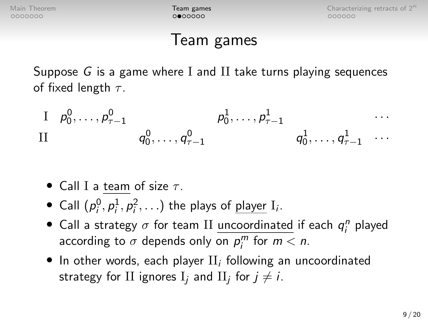[Main Theorem](#page-1-0) **[Team games](#page-8-0)**  $\qquad \qquad$  [Characterizing retracts of 2](#page-15-0)<sup>k</sup>  $000000$ 

### Team games

Suppose G is a game where I and II take turns playing sequences of fixed length  $\tau$ .

 $1 \quad p_0^0, \ldots, p_{\tau-1}^0 \qquad \qquad p_0^1, \ldots, p_{\tau-1}^1 \qquad \qquad \cdots$  $q_0^0,\ldots,q_{\tau-1}^0\qquad \qquad q_0^1,\ldots,q_{\tau-1}^1\quad\cdots$ 

- Call I a team of size  $\tau$ .
- Call  $(p_i^0, p_i^1, p_i^2, ...)$  the plays of <u>player</u> I<sub>i</sub>.
- Call a strategy  $\sigma$  for team II <u>uncoordinated</u> if each  $q_i^n$  played according to  $\sigma$  depends only on  $p_j^m$  for  $m < n$ .
- $\bullet$  In other words, each player  $\text{II}_i$  following an uncoordinated strategy for  $\text{II}$  ignores  $\text{I}_j$  and  $\text{II}_j$  for  $j\neq i.$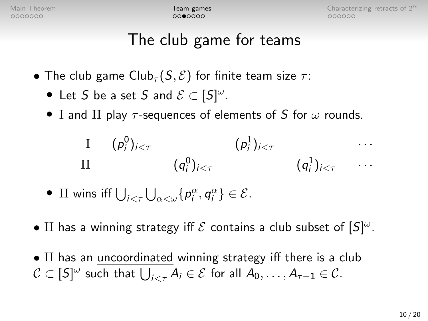$0000000$ 

[Main Theorem](#page-1-0) **[Team games](#page-8-0) Theorem Team games** [Characterizing retracts of 2](#page-15-0)<sup>K</sup>  $000000$ 

# The club game for teams

- The club game Club<sub>τ</sub>  $(S, \mathcal{E})$  for finite team size  $\tau$ :
	- Let S be a set S and  $\mathcal{E} \subset [S]^{\omega}$ .
	- I and II play  $\tau$ -sequences of elements of S for  $\omega$  rounds.

$$
\begin{array}{ccc}\nI & (p_i^0)_{i < \tau} & (p_i^1)_{i < \tau} & \cdots \\
II & (q_i^0)_{i < \tau} & (q_i^1)_{i < \tau} & \cdots\n\end{array}
$$

- II wins iff  $\bigcup_{i<\tau}\bigcup_{\alpha<\omega}\{p_i^{\alpha},q_i^{\alpha}\}\in \mathcal{E}$ .
- II has a winning strategy iff  $\mathcal E$  contains a club subset of  $[S]^{\omega}$ .
- II has an uncoordinated winning strategy iff there is a club  $\mathcal{C}\subset [S]^\omega$  such that  $\bigcup_{i<\tau}A_i\in \mathcal{E}$  for all  $A_0,\ldots,A_{\tau-1}\in \mathcal{C}.$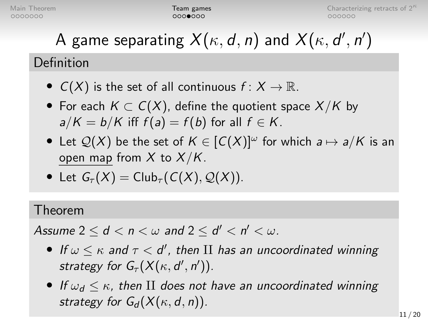# A game separating  $X(\kappa, d, n)$  and  $X(\kappa, d', n')$

### Definition

- $C(X)$  is the set of all continuous  $f: X \to \mathbb{R}$ .
- For each  $K \subset C(X)$ , define the quotient space  $X/K$  by  $a/K = b/K$  iff  $f(a) = f(b)$  for all  $f \in K$ .
- Let  $\mathcal{Q}(X)$  be the set of  $K \in [C(X)]^{\omega}$  for which  $a \mapsto a/K$  is an open map from  $X$  to  $X/K$ .
- Let  $G_\tau(X) = Club_\tau(C(X), Q(X))$ .

#### Theorem

Assume 2  $\leq$  d  $<$  n  $<$   $\omega$  and 2  $\leq$  d'  $<$  n'  $<$   $\omega$ .

- If  $\omega \leq \kappa$  and  $\tau <$  d', then II has an uncoordinated winning strategy for  $G_{\tau}(X(\kappa, d', n')).$
- If  $\omega_d \leq \kappa$ , then II does not have an uncoordinated winning strategy for  $G_d(X(\kappa, d, n))$ .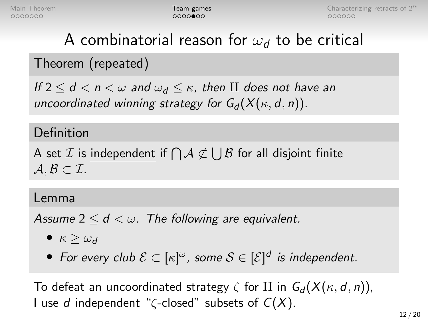# A combinatorial reason for  $\omega_d$  to be critical

### Theorem (repeated)

If  $2 \le d < n < \omega$  and  $\omega_d \le \kappa$ , then II does not have an uncoordinated winning strategy for  $G_d(X(\kappa, d, n))$ .

#### Definition

A set  ${\mathcal I}$  is independent if  $\bigcap {\mathcal A} \not\subset \bigcup {\mathcal B}$  for all disjoint finite  $A, B \subset \mathcal{I}$ .

#### Lemma

Assume  $2 \le d < \omega$ . The following are equivalent.

- $\kappa > \omega_d$
- For every club  $\mathcal{E} \subset [\kappa]^{\omega}$ , some  $\mathcal{S} \in [\mathcal{E}]^d$  is independent.

To defeat an uncoordinated strategy  $\zeta$  for II in  $G_d(X(\kappa, d, n))$ , I use d independent " $\zeta$ -closed" subsets of  $C(X)$ .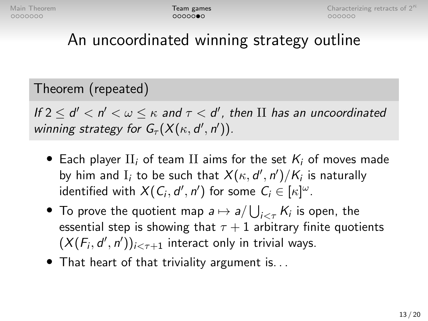# An uncoordinated winning strategy outline

#### Theorem (repeated)

If  $2 \le d' < n' < \omega \le \kappa$  and  $\tau < d'$ , then II has an uncoordinated winning strategy for  $G_{\tau}(X(\kappa, d', n')).$ 

- Each player  $II_i$  of team II aims for the set  $K_i$  of moves made by him and  $\mathrm{I}_i$  to be such that  $\mathsf{X}(\kappa,d',n')/\mathsf{K}_i$  is naturally identified with  $X(C_i, d', n')$  for some  $C_i \in [\kappa]^\omega$ .
- $\bullet$  To prove the quotient map  $a\mapsto a/\bigcup_{i<\tau}K_i$  is open, the essential step is showing that  $\tau + 1$  arbitrary finite quotients  $(X(F_i, d', n'))_{i < \tau+1}$  interact only in trivial ways.
- That heart of that triviality argument is...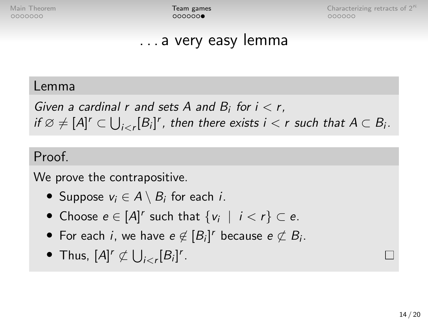$000000$ 

[Main Theorem](#page-1-0) **[Team games](#page-8-0) Team games** [Characterizing retracts of 2](#page-15-0)<sup> $k$ </sup>  $000000$ 

### . . . a very easy lemma

#### Lemma

Given a cardinal r and sets A and  $B_i$  for  $i < r$ , if  $\varnothing \neq [A]^r \subset \bigcup_{i < r} [B_i]^r$ , then there exists  $i < r$  such that  $A \subset B_i$ .

#### Proof.

We prove the contrapositive.

- Suppose  $v_i \in A \setminus B_i$  for each *i*.
- Choose  $e \in [A]^r$  such that  $\{v_i \mid i < r\} \subset e$ .
- For each *i*, we have  $e \notin [B_i]^r$  because  $e \not\subset B_i$ .
- Thus,  $[A]^r \not\subset \bigcup_{i < r} [B_i]^r$ .

П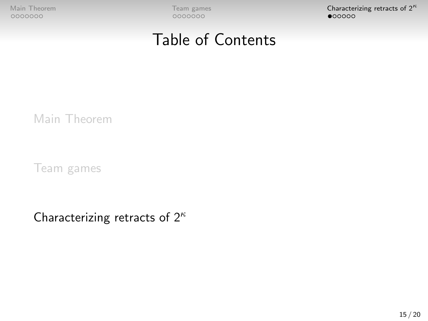<span id="page-15-0"></span>

[Main Theorem](#page-1-0) **[Team games](#page-8-0)** Team games **[Characterizing retracts of 2](#page-15-0)<sup>κ</sup> (Characterizing retracts of 2<sup>κ</sup> (Characterizing retracts of 2<sup>κ</sup> (Characterizing retracts of 2<sup>κ</sup>** 

### Table of Contents

[Main Theorem](#page-1-0)

[Team games](#page-8-0)

[Characterizing retracts of 2](#page-15-0)<sup>κ</sup>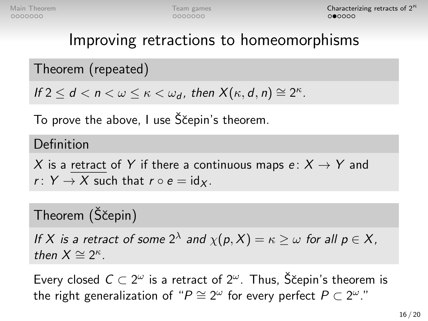### Improving retractions to homeomorphisms

Theorem (repeated)

If  $2 \le d < n < \omega \le \kappa < \omega_d$ , then  $X(\kappa, d, n) \cong 2^{\kappa}$ .

To prove the above, I use Sčepin's theorem.

Definition

X is a retract of Y if there a continuous maps  $e: X \rightarrow Y$  and r:  $Y \rightarrow X$  such that  $r \circ e = id_X$ .

### Theorem (Ščepin)

If X is a retract of some 2<sup> $\lambda$ </sup> and  $\chi(p, X) = \kappa \geq \omega$  for all  $p \in X$ , then  $X \cong 2^{\kappa}$ .

Every closed  $C \subset 2^\omega$  is a retract of  $2^\omega$ . Thus, Ščepin's theorem is the right generalization of " $P \cong 2^{\omega}$  for every perfect  $P \subset 2^{\omega}$ ."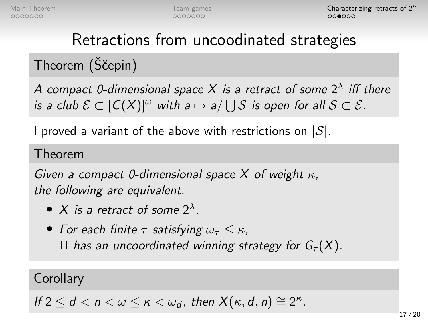# Retractions from uncoodinated strategies

# Theorem (Ščepin)

A compact 0-dimensional space X is a retract of some  $2^\lambda$  iff there is a club  $\mathcal{E} \subset [C(X)]^{\omega}$  with a  $\mapsto$  a/  $\bigcup \mathcal{S}$  is open for all  $\mathcal{S} \subset \mathcal{E}$ .

I proved a variant of the above with restrictions on  $|S|$ .

#### Theorem

Given a compact 0-dimensional space X of weight  $\kappa$ . the following are equivalent.

- X is a retract of some  $2^{\lambda}$ .
- For each finite  $\tau$  satisfying  $\omega_{\tau} \leq \kappa$ , II has an uncoordinated winning strategy for  $G<sub>\tau</sub>(X)$ .

#### **Corollary**

If  $2 \le d < n < \omega \le \kappa < \omega_d$ , then  $X(\kappa, d, n) \cong 2^{\kappa}$ .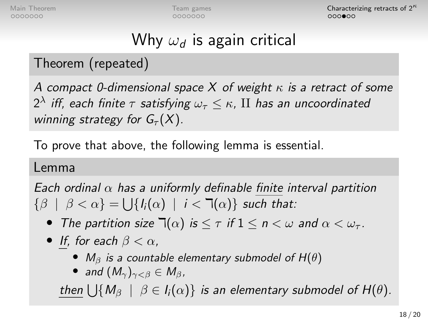0000000

[Main Theorem](#page-1-0) **[Team games](#page-8-0)** Team games [Characterizing retracts of 2](#page-15-0)<sup>k</sup> റററ⊜ററ

# Why  $\omega_d$  is again critical

### Theorem (repeated)

A compact 0-dimensional space X of weight  $\kappa$  is a retract of some  $2^\lambda$  iff, each finite  $\tau$  satisfying  $\omega_\tau\leq\kappa$ ,  $\text{II}$  has an uncoordinated winning strategy for  $G_\tau(X)$ .

To prove that above, the following lemma is essential.

#### Lemma

Each ordinal  $\alpha$  has a uniformly definable finite interval partition  $\{\beta \mid \beta < \alpha\} = \bigcup \{I_i(\alpha) \mid i < \daleth(\alpha)\}\$  such that:

- The partition size  $\mathbb{T}(\alpha)$  is  $\leq \tau$  if  $1 \leq n \leq \omega$  and  $\alpha \leq \omega_{\tau}$ .
- If, for each  $\beta < \alpha$ ,
	- $M_{\beta}$  is a countable elementary submodel of  $H(\theta)$
	- and  $(M_{\gamma})_{\gamma<\beta}\in M_{\beta}$ ,

<u>then</u>  $\bigcup \{M_\beta \, \mid \, \beta \in I_i(\alpha)\}$  is an elementary submodel of  $H(\theta).$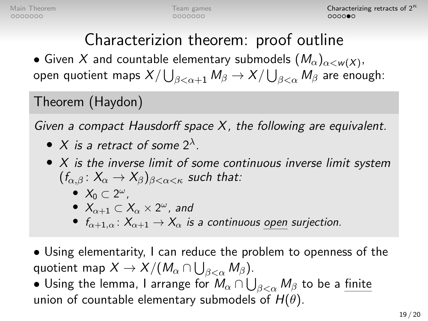# Characterizion theorem: proof outline

 $\bullet$  Given  $X$  and countable elementary submodels  $(\mathit{M}_\alpha)_{\alpha<\mathsf{w}(X)}.$ open quotient maps  $X/\bigcup_{\beta<\alpha+1}M_\beta\to X/\bigcup_{\beta<\alpha}M_\beta$  are enough:

#### Theorem (Haydon)

Given a compact Hausdorff space  $X$ , the following are equivalent.

- X is a retract of some  $2^{\lambda}$ .
- X is the inverse limit of some continuous inverse limit system  $(f_{\alpha.\beta}: X_{\alpha} \to X_{\beta})_{\beta<\alpha<\kappa}$  such that:
	- $X_0 \subset 2^{\omega}$ ,
	- $\bullet$   $X_{\alpha+1} \subset X_\alpha \times 2^\omega$ , and
	- $f_{\alpha+1,\alpha}: X_{\alpha+1} \to X_{\alpha}$  is a continuous open surjection.
- Using elementarity, I can reduce the problem to openness of the quotient map  $X \to X/(M_\alpha \cap \bigcup_{\beta < \alpha} M_\beta).$
- $\bullet$  Using the lemma, I arrange for  $M_{\alpha} \cap \bigcup_{\beta < \alpha} M_{\beta}$  to be a  $\underline{\mathsf{finite}}$ union of countable elementary submodels of  $H(\theta)$ .